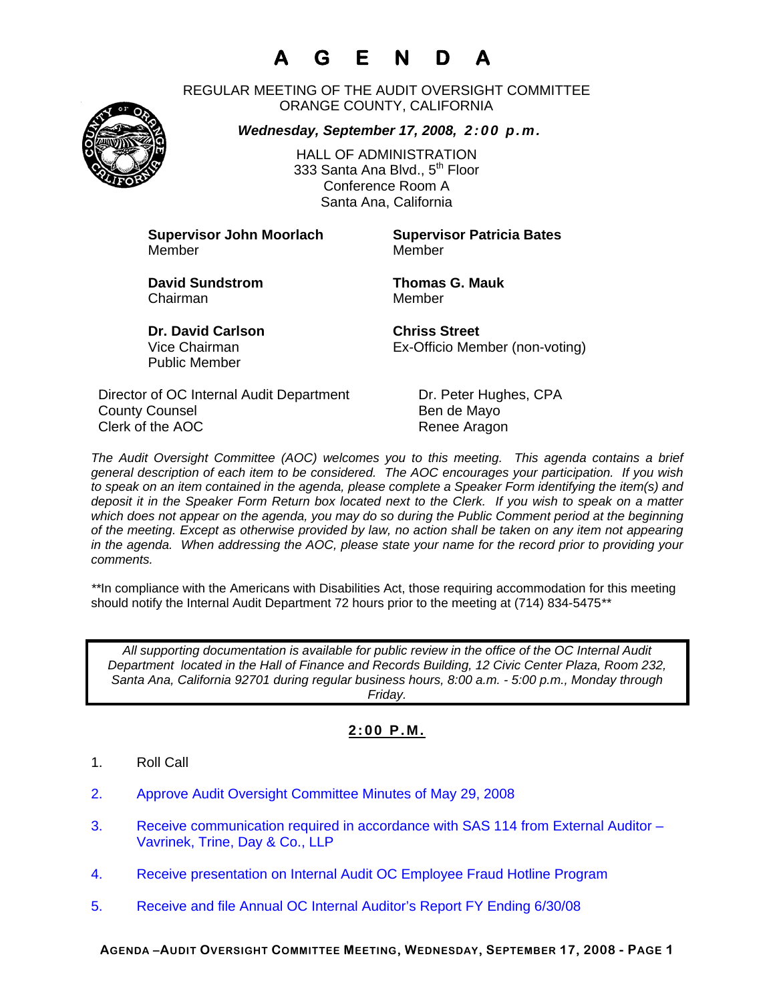## **A G E N D A**

REGULAR MEETING OF THE AUDIT OVERSIGHT COMMITTEE ORANGE COUNTY, CALIFORNIA

*Wednesday, September 17, 2008, 2:00 p.m.*



HALL OF ADMINISTRATION 333 Santa Ana Blvd., 5<sup>th</sup> Floor Conference Room A Santa Ana, California

**Supervisor John Moorlach Supervisor Patricia Bates** Member Member

Chairman Member

**David Sundstrom Thomas G. Mauk** 

**Dr. David Carlson Chriss Street** Public Member

Vice Chairman Ex-Officio Member (non-voting)

Director of OC Internal Audit Department Dr. Peter Hughes, CPA County Counsel **Bende Mayo** Clerk of the AOC Renee Aragon

*The Audit Oversight Committee (AOC) welcomes you to this meeting. This agenda contains a brief general description of each item to be considered. The AOC encourages your participation. If you wish to speak on an item contained in the agenda, please complete a Speaker Form identifying the item(s) and deposit it in the Speaker Form Return box located next to the Clerk. If you wish to speak on a matter which does not appear on the agenda, you may do so during the Public Comment period at the beginning of the meeting. Except as otherwise provided by law, no action shall be taken on any item not appearing in the agenda. When addressing the AOC, please state your name for the record prior to providing your comments.* 

*\*\**In compliance with the Americans with Disabilities Act, those requiring accommodation for this meeting should notify the Internal Audit Department 72 hours prior to the meeting at (714) 834-5475*\*\** 

*All supporting documentation is available for public review in the office of the OC Internal Audit Department located in the Hall of Finance and Records Building, 12 Civic Center Plaza, Room 232, Santa Ana, California 92701 during regular business hours, 8:00 a.m. - 5:00 p.m., Monday through Friday.* 

## **2:00 P.M.**

- 1. Roll Call
- 2. Approve Audit Oversight Committee Minutes of May 29, 2008
- 3. Receive communication required in accordance with SAS 114 from External Auditor Vavrinek, Trine, Day & Co., LLP
- 4. Receive presentation on Internal Audit OC Employee Fraud Hotline Program
- 5. Receive and file Annual OC Internal Auditor's Report FY Ending 6/30/08